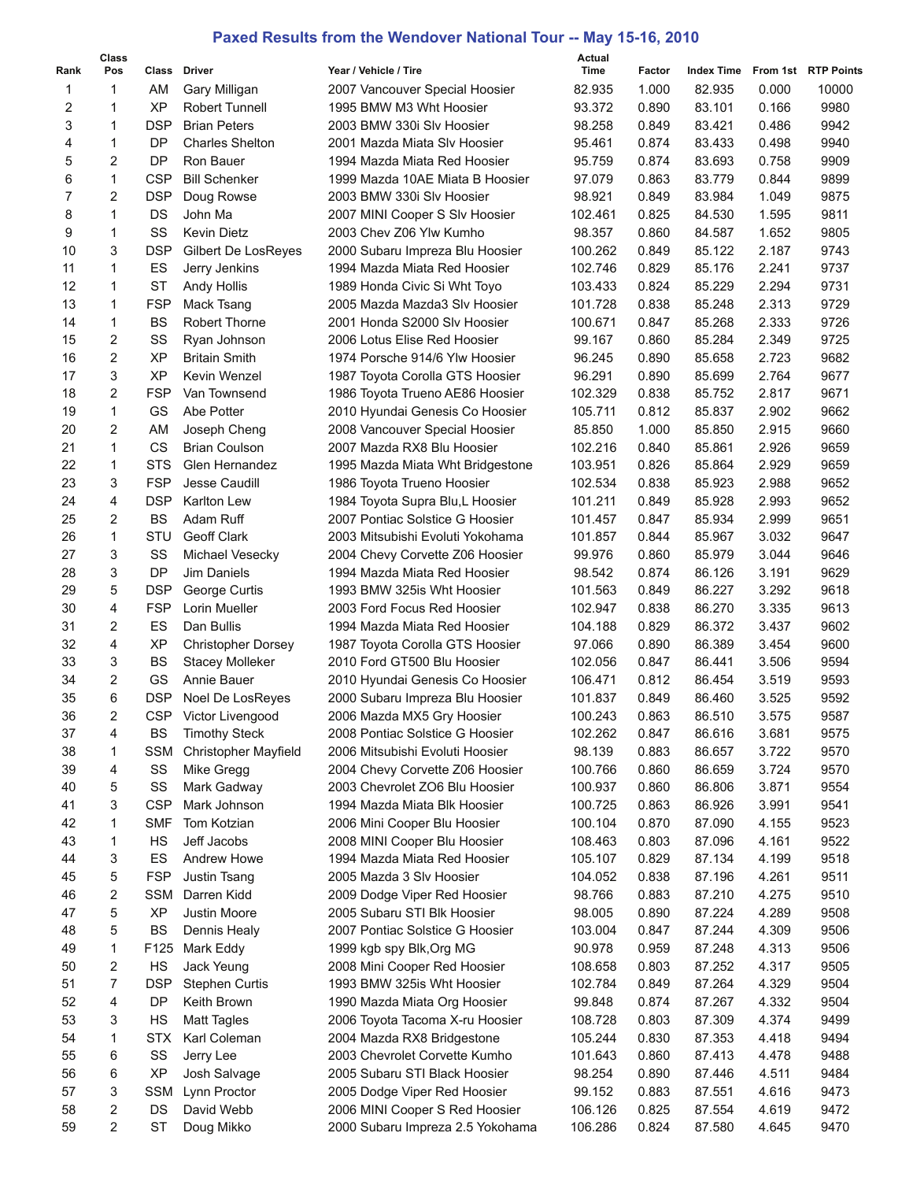## **Paxed Results from the Wendover National Tour -- May 15-16, 2010**

|                | <b>Class</b>   |                          |                                        |                                                                     | Actual             |                |                   |                |                     |
|----------------|----------------|--------------------------|----------------------------------------|---------------------------------------------------------------------|--------------------|----------------|-------------------|----------------|---------------------|
| Rank           | Pos            | Class                    | Driver                                 | Year / Vehicle / Tire                                               | Time               | Factor         | <b>Index Time</b> |                | From 1st RTP Points |
| 1              | 1              | AM                       | Gary Milligan                          | 2007 Vancouver Special Hoosier                                      | 82.935             | 1.000          | 82.935            | 0.000          | 10000               |
| 2              | 1              | ХP                       | Robert Tunnell                         | 1995 BMW M3 Wht Hoosier                                             | 93.372             | 0.890          | 83.101            | 0.166          | 9980                |
| 3              | $\mathbf{1}$   | <b>DSP</b>               | <b>Brian Peters</b>                    | 2003 BMW 330i Slv Hoosier                                           | 98.258             | 0.849          | 83.421            | 0.486          | 9942                |
| 4              | 1              | <b>DP</b>                | <b>Charles Shelton</b>                 | 2001 Mazda Miata SIv Hoosier                                        | 95.461             | 0.874          | 83.433            | 0.498          | 9940                |
| 5              | 2              | <b>DP</b>                | Ron Bauer                              | 1994 Mazda Miata Red Hoosier                                        | 95.759             | 0.874          | 83.693            | 0.758          | 9909                |
| 6              | $\mathbf{1}$   | <b>CSP</b>               | <b>Bill Schenker</b>                   | 1999 Mazda 10AE Miata B Hoosier                                     | 97.079             | 0.863          | 83.779            | 0.844          | 9899                |
| $\overline{7}$ | $\overline{2}$ | <b>DSP</b>               | Doug Rowse                             | 2003 BMW 330i Slv Hoosier                                           | 98.921             | 0.849          | 83.984            | 1.049          | 9875                |
| 8              | 1              | DS                       | John Ma                                | 2007 MINI Cooper S Slv Hoosier                                      | 102.461            | 0.825          | 84.530            | 1.595          | 9811                |
| 9              | 1              | SS                       | <b>Kevin Dietz</b>                     | 2003 Chev Z06 Ylw Kumho                                             | 98.357             | 0.860          | 84.587            | 1.652          | 9805                |
| 10             | 3              | <b>DSP</b>               | Gilbert De LosReyes                    | 2000 Subaru Impreza Blu Hoosier                                     | 100.262            | 0.849          | 85.122            | 2.187          | 9743                |
| 11             | 1              | ES                       | Jerry Jenkins                          | 1994 Mazda Miata Red Hoosier                                        | 102.746            | 0.829          | 85.176            | 2.241          | 9737                |
| 12             | 1              | <b>ST</b>                | Andy Hollis                            | 1989 Honda Civic Si Wht Toyo                                        | 103.433            | 0.824          | 85.229            | 2.294          | 9731                |
| 13             | 1              | <b>FSP</b>               | Mack Tsang                             | 2005 Mazda Mazda3 SIv Hoosier                                       | 101.728            | 0.838          | 85.248            | 2.313          | 9729                |
| 14             | 1              | <b>BS</b>                | <b>Robert Thorne</b>                   | 2001 Honda S2000 Slv Hoosier                                        | 100.671            | 0.847          | 85.268            | 2.333          | 9726                |
| 15             | $\overline{2}$ | SS                       | Ryan Johnson                           | 2006 Lotus Elise Red Hoosier                                        | 99.167             | 0.860          | 85.284            | 2.349          | 9725                |
| 16             | $\overline{2}$ | <b>XP</b>                | <b>Britain Smith</b>                   | 1974 Porsche 914/6 Ylw Hoosier                                      | 96.245             | 0.890          | 85.658            | 2.723          | 9682                |
| 17             | 3              | <b>XP</b>                | Kevin Wenzel                           | 1987 Toyota Corolla GTS Hoosier                                     | 96.291             | 0.890          | 85.699            | 2.764          | 9677                |
| 18             | $\overline{2}$ | <b>FSP</b>               | Van Townsend                           | 1986 Toyota Trueno AE86 Hoosier                                     | 102.329            | 0.838          | 85.752            | 2.817          | 9671                |
| 19             | 1              | GS                       | Abe Potter                             | 2010 Hyundai Genesis Co Hoosier                                     | 105.711            | 0.812          | 85.837            | 2.902          | 9662                |
| 20             | 2              | AM                       | Joseph Cheng                           | 2008 Vancouver Special Hoosier                                      | 85.850             | 1.000          | 85.850            | 2.915          | 9660                |
| 21             | 1              | CS                       | <b>Brian Coulson</b>                   | 2007 Mazda RX8 Blu Hoosier                                          | 102.216            | 0.840          | 85.861            | 2.926          | 9659                |
| 22<br>23       | 1<br>3         | <b>STS</b><br><b>FSP</b> | Glen Hernandez<br><b>Jesse Caudill</b> | 1995 Mazda Miata Wht Bridgestone                                    | 103.951            | 0.826          | 85.864            | 2.929          | 9659                |
| 24             | $\overline{4}$ | <b>DSP</b>               | Karlton Lew                            | 1986 Toyota Trueno Hoosier                                          | 102.534            | 0.838<br>0.849 | 85.923            | 2.988          | 9652                |
| 25             | $\overline{2}$ | <b>BS</b>                | Adam Ruff                              | 1984 Toyota Supra Blu, L Hoosier                                    | 101.211            | 0.847          | 85.928            | 2.993          | 9652                |
| 26             | 1              | <b>STU</b>               | Geoff Clark                            | 2007 Pontiac Solstice G Hoosier<br>2003 Mitsubishi Evoluti Yokohama | 101.457<br>101.857 | 0.844          | 85.934<br>85.967  | 2.999<br>3.032 | 9651<br>9647        |
| 27             | 3              | SS                       | Michael Vesecky                        |                                                                     | 99.976             | 0.860          | 85.979            | 3.044          | 9646                |
| 28             | 3              | <b>DP</b>                | Jim Daniels                            | 2004 Chevy Corvette Z06 Hoosier<br>1994 Mazda Miata Red Hoosier     | 98.542             | 0.874          | 86.126            | 3.191          | 9629                |
| 29             | 5              | <b>DSP</b>               | George Curtis                          | 1993 BMW 325is Wht Hoosier                                          | 101.563            | 0.849          | 86.227            | 3.292          | 9618                |
| 30             | 4              | <b>FSP</b>               | Lorin Mueller                          | 2003 Ford Focus Red Hoosier                                         | 102.947            | 0.838          | 86.270            | 3.335          | 9613                |
| 31             | $\overline{2}$ | ES                       | Dan Bullis                             | 1994 Mazda Miata Red Hoosier                                        | 104.188            | 0.829          | 86.372            | 3.437          | 9602                |
| 32             | 4              | XP                       | <b>Christopher Dorsey</b>              | 1987 Toyota Corolla GTS Hoosier                                     | 97.066             | 0.890          | 86.389            | 3.454          | 9600                |
| 33             | 3              | <b>BS</b>                | <b>Stacey Molleker</b>                 | 2010 Ford GT500 Blu Hoosier                                         | 102.056            | 0.847          | 86.441            | 3.506          | 9594                |
| 34             | 2              | GS                       | Annie Bauer                            | 2010 Hyundai Genesis Co Hoosier                                     | 106.471            | 0.812          | 86.454            | 3.519          | 9593                |
| 35             | 6              | <b>DSP</b>               | Noel De LosReyes                       | 2000 Subaru Impreza Blu Hoosier                                     | 101.837            | 0.849          | 86.460            | 3.525          | 9592                |
| 36             | 2              |                          | CSP Victor Livengood                   | 2006 Mazda MX5 Gry Hoosier                                          | 100.243            | 0.863          | 86.510            | 3.575          | 9587                |
| 37             | 4              | BS                       | <b>Timothy Steck</b>                   | 2008 Pontiac Solstice G Hoosier                                     | 102.262            | 0.847          | 86.616            | 3.681          | 9575                |
| 38             | 1              | <b>SSM</b>               | <b>Christopher Mayfield</b>            | 2006 Mitsubishi Evoluti Hoosier                                     | 98.139             | 0.883          | 86.657            | 3.722          | 9570                |
| 39             | 4              | SS                       | Mike Gregg                             | 2004 Chevy Corvette Z06 Hoosier                                     | 100.766            | 0.860          | 86.659            | 3.724          | 9570                |
| 40             | 5              | SS                       | Mark Gadway                            | 2003 Chevrolet ZO6 Blu Hoosier                                      | 100.937            | 0.860          | 86.806            | 3.871          | 9554                |
| 41             | 3              | <b>CSP</b>               | Mark Johnson                           | 1994 Mazda Miata Blk Hoosier                                        | 100.725            | 0.863          | 86.926            | 3.991          | 9541                |
| 42             | 1              | <b>SMF</b>               | Tom Kotzian                            | 2006 Mini Cooper Blu Hoosier                                        | 100.104            | 0.870          | 87.090            | 4.155          | 9523                |
| 43             | 1              | HS                       | Jeff Jacobs                            | 2008 MINI Cooper Blu Hoosier                                        | 108.463            | 0.803          | 87.096            | 4.161          | 9522                |
| 44             | 3              | ES                       | Andrew Howe                            | 1994 Mazda Miata Red Hoosier                                        | 105.107            | 0.829          | 87.134            | 4.199          | 9518                |
| 45             | 5              | <b>FSP</b>               | Justin Tsang                           | 2005 Mazda 3 Slv Hoosier                                            | 104.052            | 0.838          | 87.196            | 4.261          | 9511                |
| 46             | 2              | <b>SSM</b>               | Darren Kidd                            | 2009 Dodge Viper Red Hoosier                                        | 98.766             | 0.883          | 87.210            | 4.275          | 9510                |
| 47             | 5              | XP                       | Justin Moore                           | 2005 Subaru STI Blk Hoosier                                         | 98.005             | 0.890          | 87.224            | 4.289          | 9508                |
| 48             | 5              | BS                       | Dennis Healy                           | 2007 Pontiac Solstice G Hoosier                                     | 103.004            | 0.847          | 87.244            | 4.309          | 9506                |
| 49             | 1              | F125                     | Mark Eddy                              | 1999 kgb spy Blk, Org MG                                            | 90.978             | 0.959          | 87.248            | 4.313          | 9506                |
| 50             | 2              | HS                       | Jack Yeung                             | 2008 Mini Cooper Red Hoosier                                        | 108.658            | 0.803          | 87.252            | 4.317          | 9505                |
| 51             | 7              | <b>DSP</b>               | <b>Stephen Curtis</b>                  | 1993 BMW 325is Wht Hoosier                                          | 102.784            | 0.849          | 87.264            | 4.329          | 9504                |
| 52             | 4              | DP                       | Keith Brown                            | 1990 Mazda Miata Org Hoosier                                        | 99.848             | 0.874          | 87.267            | 4.332          | 9504                |
| 53             | 3              | HS                       | <b>Matt Tagles</b>                     | 2006 Toyota Tacoma X-ru Hoosier                                     | 108.728            | 0.803          | 87.309            | 4.374          | 9499                |
| 54             | 1              | <b>STX</b>               | Karl Coleman                           | 2004 Mazda RX8 Bridgestone                                          | 105.244            | 0.830          | 87.353            | 4.418          | 9494                |
| 55             | 6              | SS                       | Jerry Lee                              | 2003 Chevrolet Corvette Kumho                                       | 101.643            | 0.860          | 87.413            | 4.478          | 9488                |
| 56             | 6              | XP                       | Josh Salvage                           | 2005 Subaru STI Black Hoosier                                       | 98.254             | 0.890          | 87.446            | 4.511          | 9484                |
| 57             | 3              | <b>SSM</b>               | Lynn Proctor                           | 2005 Dodge Viper Red Hoosier                                        | 99.152             | 0.883          | 87.551            | 4.616          | 9473                |
| 58             | 2              | DS                       | David Webb                             | 2006 MINI Cooper S Red Hoosier                                      | 106.126            | 0.825          | 87.554            | 4.619          | 9472                |
| 59             | $\overline{2}$ | ST                       | Doug Mikko                             | 2000 Subaru Impreza 2.5 Yokohama                                    | 106.286            | 0.824          | 87.580            | 4.645          | 9470                |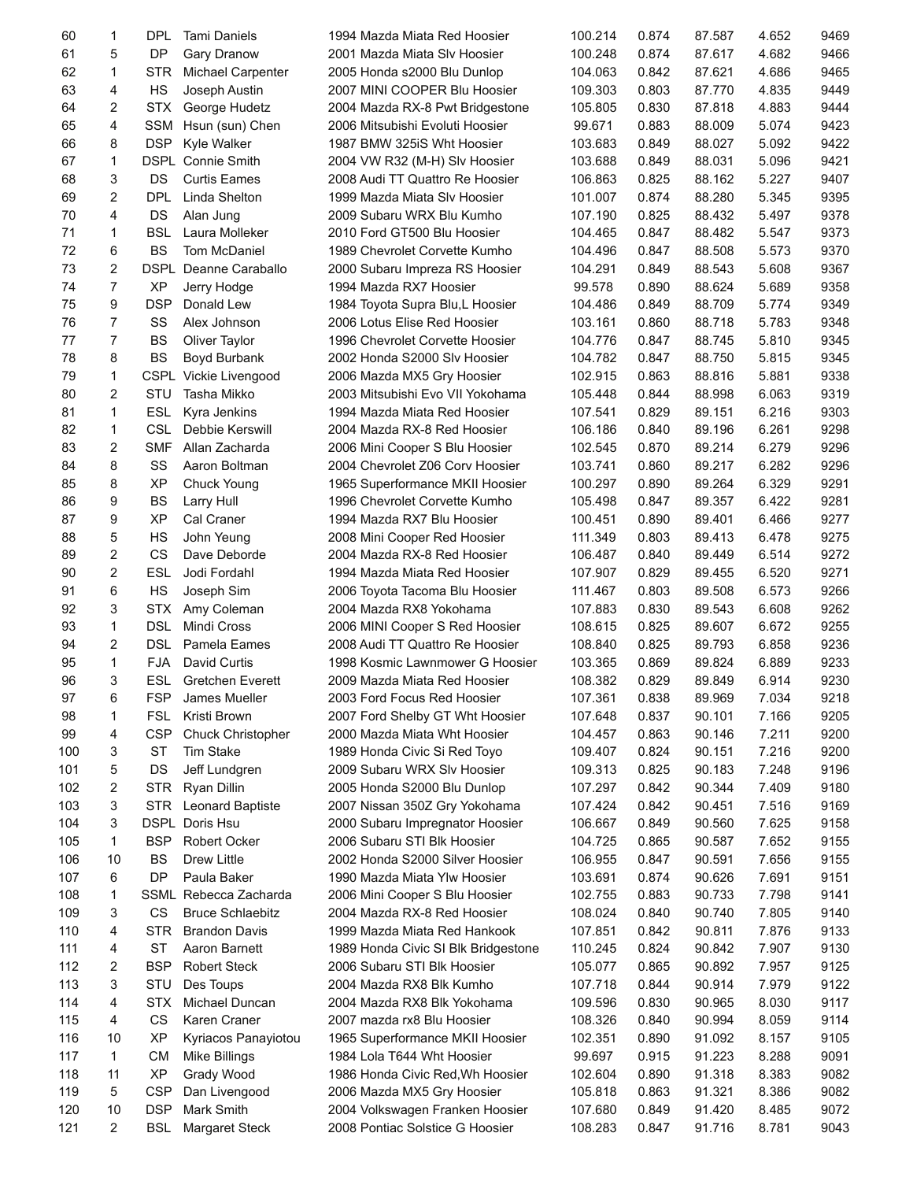| 60  | 1              | <b>DPL</b> | <b>Tami Daniels</b>         | 1994 Mazda Miata Red Hoosier        | 100.214 | 0.874 | 87.587 | 4.652 | 9469 |
|-----|----------------|------------|-----------------------------|-------------------------------------|---------|-------|--------|-------|------|
| 61  | 5              | DP         | <b>Gary Dranow</b>          | 2001 Mazda Miata SIv Hoosier        | 100.248 | 0.874 | 87.617 | 4.682 | 9466 |
| 62  | $\mathbf{1}$   | <b>STR</b> | <b>Michael Carpenter</b>    | 2005 Honda s2000 Blu Dunlop         | 104.063 | 0.842 | 87.621 | 4.686 | 9465 |
| 63  | 4              | <b>HS</b>  | Joseph Austin               | 2007 MINI COOPER Blu Hoosier        | 109.303 | 0.803 | 87.770 | 4.835 | 9449 |
| 64  | 2              | <b>STX</b> | George Hudetz               | 2004 Mazda RX-8 Pwt Bridgestone     | 105.805 | 0.830 | 87.818 | 4.883 | 9444 |
| 65  | 4              | <b>SSM</b> | Hsun (sun) Chen             | 2006 Mitsubishi Evoluti Hoosier     | 99.671  | 0.883 | 88.009 | 5.074 | 9423 |
| 66  | 8              | <b>DSP</b> | Kyle Walker                 | 1987 BMW 325iS Wht Hoosier          | 103.683 | 0.849 | 88.027 | 5.092 | 9422 |
| 67  | $\mathbf{1}$   |            | DSPL Connie Smith           | 2004 VW R32 (M-H) Slv Hoosier       | 103.688 | 0.849 | 88.031 | 5.096 | 9421 |
| 68  | 3              | <b>DS</b>  | <b>Curtis Eames</b>         | 2008 Audi TT Quattro Re Hoosier     | 106.863 | 0.825 | 88.162 | 5.227 | 9407 |
| 69  | 2              | <b>DPL</b> | Linda Shelton               | 1999 Mazda Miata Slv Hoosier        | 101.007 | 0.874 | 88.280 | 5.345 | 9395 |
| 70  | 4              | DS         | Alan Jung                   | 2009 Subaru WRX Blu Kumho           | 107.190 | 0.825 | 88.432 | 5.497 | 9378 |
| 71  | $\mathbf{1}$   | <b>BSL</b> | Laura Molleker              | 2010 Ford GT500 Blu Hoosier         | 104.465 | 0.847 | 88.482 | 5.547 | 9373 |
| 72  | 6              | <b>BS</b>  | Tom McDaniel                | 1989 Chevrolet Corvette Kumho       | 104.496 | 0.847 | 88.508 | 5.573 | 9370 |
| 73  | $\overline{2}$ |            | DSPL Deanne Caraballo       | 2000 Subaru Impreza RS Hoosier      | 104.291 | 0.849 | 88.543 | 5.608 | 9367 |
| 74  | $\overline{7}$ | <b>XP</b>  | Jerry Hodge                 | 1994 Mazda RX7 Hoosier              | 99.578  | 0.890 | 88.624 | 5.689 | 9358 |
| 75  | 9              | <b>DSP</b> | Donald Lew                  | 1984 Toyota Supra Blu, L Hoosier    | 104.486 | 0.849 | 88.709 | 5.774 | 9349 |
| 76  | $\overline{7}$ | SS         | Alex Johnson                | 2006 Lotus Elise Red Hoosier        | 103.161 | 0.860 | 88.718 | 5.783 | 9348 |
| 77  | $\overline{7}$ | <b>BS</b>  | Oliver Taylor               | 1996 Chevrolet Corvette Hoosier     | 104.776 | 0.847 | 88.745 | 5.810 | 9345 |
| 78  | 8              | <b>BS</b>  | Boyd Burbank                | 2002 Honda S2000 Slv Hoosier        | 104.782 | 0.847 | 88.750 | 5.815 | 9345 |
| 79  | 1              |            | CSPL Vickie Livengood       | 2006 Mazda MX5 Gry Hoosier          | 102.915 | 0.863 | 88.816 | 5.881 | 9338 |
| 80  | 2              | STU        | Tasha Mikko                 | 2003 Mitsubishi Evo VII Yokohama    | 105.448 | 0.844 | 88.998 | 6.063 | 9319 |
| 81  | $\mathbf{1}$   |            | ESL Kyra Jenkins            | 1994 Mazda Miata Red Hoosier        | 107.541 | 0.829 | 89.151 | 6.216 | 9303 |
| 82  | 1              | <b>CSL</b> | Debbie Kerswill             | 2004 Mazda RX-8 Red Hoosier         | 106.186 | 0.840 | 89.196 | 6.261 | 9298 |
| 83  | 2              | <b>SMF</b> | Allan Zacharda              | 2006 Mini Cooper S Blu Hoosier      | 102.545 | 0.870 | 89.214 | 6.279 | 9296 |
| 84  | 8              | SS         | Aaron Boltman               | 2004 Chevrolet Z06 Corv Hoosier     | 103.741 | 0.860 | 89.217 | 6.282 | 9296 |
| 85  | 8              | XP         | Chuck Young                 | 1965 Superformance MKII Hoosier     | 100.297 | 0.890 | 89.264 | 6.329 | 9291 |
| 86  | 9              | <b>BS</b>  | Larry Hull                  | 1996 Chevrolet Corvette Kumho       | 105.498 | 0.847 | 89.357 | 6.422 | 9281 |
| 87  | 9              | XP         | Cal Craner                  | 1994 Mazda RX7 Blu Hoosier          | 100.451 | 0.890 | 89.401 | 6.466 | 9277 |
| 88  | 5              | HS         | John Yeung                  | 2008 Mini Cooper Red Hoosier        | 111.349 | 0.803 | 89.413 | 6.478 | 9275 |
| 89  | $\overline{c}$ | CS         | Dave Deborde                | 2004 Mazda RX-8 Red Hoosier         | 106.487 | 0.840 | 89.449 | 6.514 | 9272 |
| 90  | $\overline{c}$ | <b>ESL</b> | Jodi Fordahl                | 1994 Mazda Miata Red Hoosier        | 107.907 | 0.829 | 89.455 | 6.520 | 9271 |
| 91  | 6              | <b>HS</b>  |                             |                                     |         | 0.803 | 89.508 |       |      |
|     |                |            | Joseph Sim                  | 2006 Toyota Tacoma Blu Hoosier      | 111.467 | 0.830 |        | 6.573 | 9266 |
| 92  | 3              | <b>STX</b> | Amy Coleman                 | 2004 Mazda RX8 Yokohama             | 107.883 |       | 89.543 | 6.608 | 9262 |
| 93  | $\mathbf{1}$   | <b>DSL</b> | Mindi Cross                 | 2006 MINI Cooper S Red Hoosier      | 108.615 | 0.825 | 89.607 | 6.672 | 9255 |
| 94  | 2              |            | DSL Pamela Eames            | 2008 Audi TT Quattro Re Hoosier     | 108.840 | 0.825 | 89.793 | 6.858 | 9236 |
| 95  | $\mathbf{1}$   | <b>FJA</b> | David Curtis                | 1998 Kosmic Lawnmower G Hoosier     | 103.365 | 0.869 | 89.824 | 6.889 | 9233 |
| 96  | 3              |            | ESL Gretchen Everett        | 2009 Mazda Miata Red Hoosier        | 108.382 | 0.829 | 89.849 | 6.914 | 9230 |
| 97  | 6              |            | FSP James Mueller           | 2003 Ford Focus Red Hoosier         | 107.361 | 0.838 | 89.969 | 7.034 | 9218 |
| 98  | 1              | FSL        | Kristi Brown                | 2007 Ford Shelby GT Wht Hoosier     | 107.648 | 0.837 | 90.101 | 7.166 | 9205 |
| 99  | 4              | <b>CSP</b> | Chuck Christopher           | 2000 Mazda Miata Wht Hoosier        | 104.457 | 0.863 | 90.146 | 7.211 | 9200 |
| 100 | 3              | ST         | <b>Tim Stake</b>            | 1989 Honda Civic Si Red Toyo        | 109.407 | 0.824 | 90.151 | 7.216 | 9200 |
| 101 | 5              | DS         | Jeff Lundgren               | 2009 Subaru WRX Slv Hoosier         | 109.313 | 0.825 | 90.183 | 7.248 | 9196 |
| 102 | 2              | <b>STR</b> | Ryan Dillin                 | 2005 Honda S2000 Blu Dunlop         | 107.297 | 0.842 | 90.344 | 7.409 | 9180 |
| 103 | 3              |            | <b>STR</b> Leonard Baptiste | 2007 Nissan 350Z Gry Yokohama       | 107.424 | 0.842 | 90.451 | 7.516 | 9169 |
| 104 | 3              |            | DSPL Doris Hsu              | 2000 Subaru Impregnator Hoosier     | 106.667 | 0.849 | 90.560 | 7.625 | 9158 |
| 105 | 1              | <b>BSP</b> | Robert Ocker                | 2006 Subaru STI Blk Hoosier         | 104.725 | 0.865 | 90.587 | 7.652 | 9155 |
| 106 | 10             | BS         | Drew Little                 | 2002 Honda S2000 Silver Hoosier     | 106.955 | 0.847 | 90.591 | 7.656 | 9155 |
| 107 | 6              | DP         | Paula Baker                 | 1990 Mazda Miata Ylw Hoosier        | 103.691 | 0.874 | 90.626 | 7.691 | 9151 |
| 108 | 1              |            | SSML Rebecca Zacharda       | 2006 Mini Cooper S Blu Hoosier      | 102.755 | 0.883 | 90.733 | 7.798 | 9141 |
| 109 | 3              | СS         | <b>Bruce Schlaebitz</b>     | 2004 Mazda RX-8 Red Hoosier         | 108.024 | 0.840 | 90.740 | 7.805 | 9140 |
| 110 | 4              | <b>STR</b> | <b>Brandon Davis</b>        | 1999 Mazda Miata Red Hankook        | 107.851 | 0.842 | 90.811 | 7.876 | 9133 |
| 111 | 4              | ST         | Aaron Barnett               | 1989 Honda Civic SI Blk Bridgestone | 110.245 | 0.824 | 90.842 | 7.907 | 9130 |
| 112 | 2              | <b>BSP</b> | <b>Robert Steck</b>         | 2006 Subaru STI Blk Hoosier         | 105.077 | 0.865 | 90.892 | 7.957 | 9125 |
| 113 | 3              | STU        | Des Toups                   | 2004 Mazda RX8 Blk Kumho            | 107.718 | 0.844 | 90.914 | 7.979 | 9122 |
| 114 | 4              | <b>STX</b> | Michael Duncan              | 2004 Mazda RX8 Blk Yokohama         | 109.596 | 0.830 | 90.965 | 8.030 | 9117 |
| 115 | 4              | CS.        | Karen Craner                | 2007 mazda rx8 Blu Hoosier          | 108.326 | 0.840 | 90.994 | 8.059 | 9114 |
| 116 | 10             | <b>XP</b>  | Kyriacos Panayiotou         | 1965 Superformance MKII Hoosier     | 102.351 | 0.890 | 91.092 | 8.157 | 9105 |
| 117 | 1              | <b>CM</b>  | Mike Billings               | 1984 Lola T644 Wht Hoosier          | 99.697  | 0.915 | 91.223 | 8.288 | 9091 |
| 118 | 11             | ΧP         | Grady Wood                  | 1986 Honda Civic Red, Wh Hoosier    | 102.604 | 0.890 | 91.318 | 8.383 | 9082 |
| 119 | 5              | <b>CSP</b> | Dan Livengood               | 2006 Mazda MX5 Gry Hoosier          | 105.818 | 0.863 | 91.321 | 8.386 | 9082 |
| 120 | 10             | <b>DSP</b> | Mark Smith                  | 2004 Volkswagen Franken Hoosier     | 107.680 | 0.849 | 91.420 | 8.485 | 9072 |
| 121 | 2              | <b>BSL</b> | <b>Margaret Steck</b>       | 2008 Pontiac Solstice G Hoosier     | 108.283 | 0.847 | 91.716 | 8.781 | 9043 |
|     |                |            |                             |                                     |         |       |        |       |      |